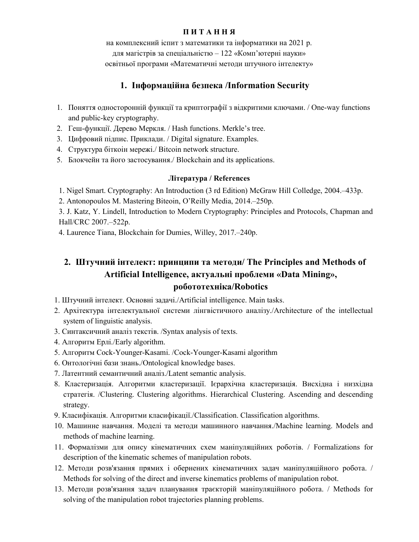### П И Т А Н Н Я

на комплексний iспит з математики та інформатики на 2021 р. для магістрів за спеціальністю – 122 «Комп'ютерні науки» освітньої програми «Математичні методи штучного інтелекту»

## 1. Інформаційна безпека /Information Security

- 1. Поняття односторонній функції та криптографії з відкритими ключами. / One-way functions and public-key cryptography.
- 2. Геш-функції. Дерево Меркля. / Hash functions. Merkle's tree.
- 3. Цифровий підпис. Приклади. / Digital signature. Examples.
- 4. Структура біткоін мережі./ Bitcoin network structure.
- 5. Блокчейн та його застосування./ Blockchain and its applications.

## Література / References

1. Nigel Smart. Cryptography: An Introduction (3 rd Edition) McGraw Hill Colledge, 2004.–433p.

2. Antonopoulos M. Mastering Biteoin, O'Reilly Media, 2014.–250p.

3. J. Katz, Y. Lindell, Introduction to Modern Cryptography: Principles and Protocols, Chapman and Hall/CRC 2007.–522p.

4. Laurence Tiana, Blockchain for Dumies, Willey, 2017.–240p.

# 2. Штучний інтелект: принципи та методи/ The Principles and Methods of Artificial Intelligence, актуальні проблеми «Data Mining», робототехніка/Robotics

- 1. Штучний інтелект. Основні задачі./Artificial intelligence. Main tasks.
- 2. Архітектура інтелектуальної системи лінгвістичного аналізу./Architecture of the intellectual system of linguistic analysis.
- 3. Синтаксичний аналіз текстів. /Syntax analysis of texts.
- 4. Алгоритм Ерлі./Early algorithm.
- 5. Алгоритм Cock-Younger-Kasami. /Cock-Younger-Kasami algorithm
- 6. Онтологічні бази знань./Ontological knowledge bases.
- 7. Латентний семантичний аналіз./Latent semantic analysis.
- 8. Кластеризація. Алгоритми кластеризації. Ієрархічна кластеризація. Висхідна і низхідна стратегія. /Clustering. Clustering algorithms. Hierarchical Clustering. Ascending and descending strategy.
- 9. Класифікація. Алгоритми класифікації./Classification. Classification algorithms.
- 10. Машинне навчання. Моделі та методи машинного навчання./Machine learning. Models and methods of machine learning.
- 11. Формалізми для опису кінематичних схем маніпуляційних роботів. / Formalizations for description of the kinematic schemes of manipulation robots.
- 12. Методи розв'язання прямих і обернених кінематичних задач маніпуляційного робота. / Methods for solving of the direct and inverse kinematics problems of manipulation robot.
- 13. Методи розв'язання задач планування траєкторій маніпуляційного робота. / Methods for solving of the manipulation robot trajectories planning problems.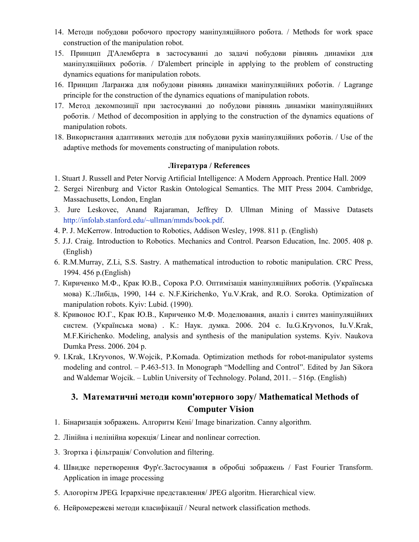- 14. Методи побудови робочого простору маніпуляційного робота. / Methods for work space construction of the manipulation robot.
- 15. Принцип Д'Алемберта в застосуванні до задачі побудови рівнянь динаміки для маніпуляційних роботів. / D'alembert principle in applying to the problem of constructing dynamics equations for manipulation robots.
- 16. Принцип Лаґранжа для побудови рівнянь динаміки маніпуляційних роботів. / Lagrange principle for the construction of the dynamics equations of manipulation robots.
- 17. Метод декомпозиції при застосуванні до побудови рівнянь динаміки маніпуляційних роботів. / Method of decomposition in applying to the construction of the dynamics equations of manipulation robots.
- 18. Використання адаптивних методів для побудови рухів маніпуляційних роботів. / Use of the adaptive methods for movements constructing of manipulation robots.

### Література / References

- 1. Stuart J. Russell and Peter Norvig Artificial Intelligence: A Modern Approach. Prentice Hall. 2009
- 2. Sergei Nirenburg and Victor Raskin Ontological Semantics. The MIT Press 2004. Cambridge, Massachusetts, London, Englan
- 3. Jure Leskovec, Anand Rajaraman, Jeffrey D. Ullman Mining of Massive Datasets http://infolab.stanford.edu/~ullman/mmds/book.pdf.
- 4. P. J. McKerrow. Introduction to Robotics, Addison Wesley, 1998. 811 p. (English)
- 5. J.J. Craig. Introduction to Robotics. Mechanics and Control. Pearson Education, Inc. 2005. 408 p. (English)
- 6. R.M.Murray, Z.Li, S.S. Sastry. A mathematical introduction to robotic manipulation. CRC Press, 1994. 456 p.(English)
- 7. Кириченко М.Ф., Крак Ю.В., Сорока Р.О. Оптимізація маніпуляційних роботів. (Українська мова) К.:Либідь, 1990, 144 с. N.F.Kirichenko, Yu.V.Krаk, and R.O. Soroka. Optimization of manipulation robots. Kyiv: Lubid. (1990).
- 8. Кривонос Ю.Г., Крак Ю.В., Кириченко М.Ф. Моделювання, аналіз і синтез маніпуляційних систем. (Українська мова) . К.: Наук. думка. 2006. 204 с. Iu.G.Kryvonos, Iu.V.Krak, M.F.Kirichenko. Modeling, analysis and synthesis of the manipulation systems. Kyiv. Naukova Dumka Press. 2006. 204 p.
- 9. I.Krak, I.Kryvonos, W.Wojcik, P.Komada. Optimization methods for robot-manipulator systems modeling and control. – P.463-513. In Monograph "Modelling and Control". Edited by Jan Sikora and Waldemar Wojcik. – Lublin University of Technology. Poland, 2011. – 516р. (English)

# 3. Математичні методи комп'ютерного зору/ Mathematical Methods of Computer Vision

- 1. Бінаризація зображень. Алгоритм Кені/ Image binarization. Canny algorithm.
- 2. Лінійна і нелінійна корекція/ Linear and nonlinear correction.
- 3. Згортка і фільтрація/ Convolution and filtering.
- 4. Швидке перетворення Фур'є.Застосування в обробці зображень / Fast Fourier Transform. Application in image processing
- 5. Алогорітм JPEG. Ієрархічне представлення/ JPEG algoritm. Hierarchical view.
- 6. Нейромережеві методи класифікації / Neural network classification methods.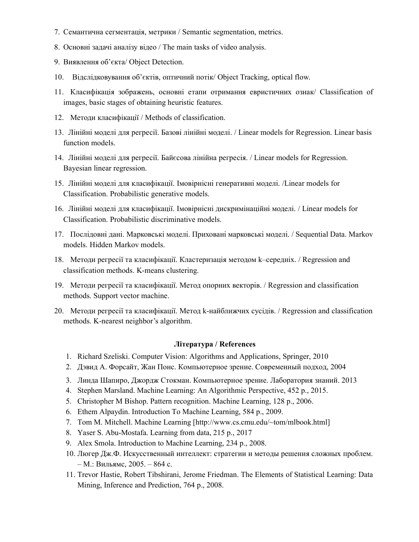- 7. Семантична сегментація, метрики / Semantic segmentation, metrics.
- 8. Основні задачі аналізу відео / The main tasks of video analysis.
- 9. Виявлення об'єкта/ Object Detection.
- 10. Відслідковування об'єктів, оптичний потік/ Object Tracking, optical flow.
- 11. Класифікація зображень, основні етапи отримання евристичних ознак/ Classification of images, basic stages of obtaining heuristic features.
- 12. Методи класифікації / Methods of classification.
- 13. Лінійні моделі для регресії. Базові лінійні моделі. / Linear models for Regression. Linear basis function models.
- 14. Лінійні моделі для регресії. Байєсова лінійна регресія. / Linear models for Regression. Bayesian linear regression.
- 15. Лінійні моделі для класифікації. Імовірнісні генеративні моделі. /Linear models for Classification. Probabilistic generative models.
- 16. Лінійні моделі для класифікації. Імовірнісні дискримінаційні моделі. / Linear models for Classification. Probabilistic discriminative models.
- 17. Послідовні дані. Марковські моделі. Приховані марковські моделі. / Sequential Data. Markov models. Hidden Markov models.
- 18. Методи регресії та класифікації. Кластеризація методом k–середніх. / Regression and classification methods. K-means clustering.
- 19. Методи регресії та класифікації. Метод опорних векторів. / Regression and classification methods. Support vector machine.
- 20. Методи регресії та класифікації. Метод k-найближчих сусідів. / Regression and classification methods. K-nearest neighbor's algorithm.

## Література / References

- 1. Richard Szeliski. Computer Vision: Algorithms and Applications, Springer, 2010
- 2. Дэвид А. Форсайт, Жан Понс. Компьютерное зрение. Современный подход, 2004
- 3. Линда Шапиро, Джордж Стокман. Компьютерное зрение. Лаборатория знаний. 2013
- 4. Stephen Marsland. Machine Learning: An Algorithmic Perspective, 452 р., 2015.
- 5. Christopher M Bishop. Pattern recognition. Machine Learning, 128 p., 2006.
- 6. Ethem Alpaydin. Introduction To Machine Learning, 584 p., 2009.
- 7. Tom M. Mitchell. Machine Learning [http://www.cs.cmu.edu/~tom/mlbook.html]
- 8. Yaser S. Abu-Mostafa. Learning from data, 215 p., 2017
- 9. Alex Smola. Introduction to Machine Learning, 234 p., 2008.
- 10. Люгер Дж.Ф. Искусственный интеллект: стратегии и методы решения сложных проблем. – М.: Вильямс, 2005. – 864 с.
- 11. Trevor Hastie, Robert Tibshirani, Jerome Friedman. The Elements of Statistical Learning: Data Mining, Inference and Prediction, 764 p., 2008.